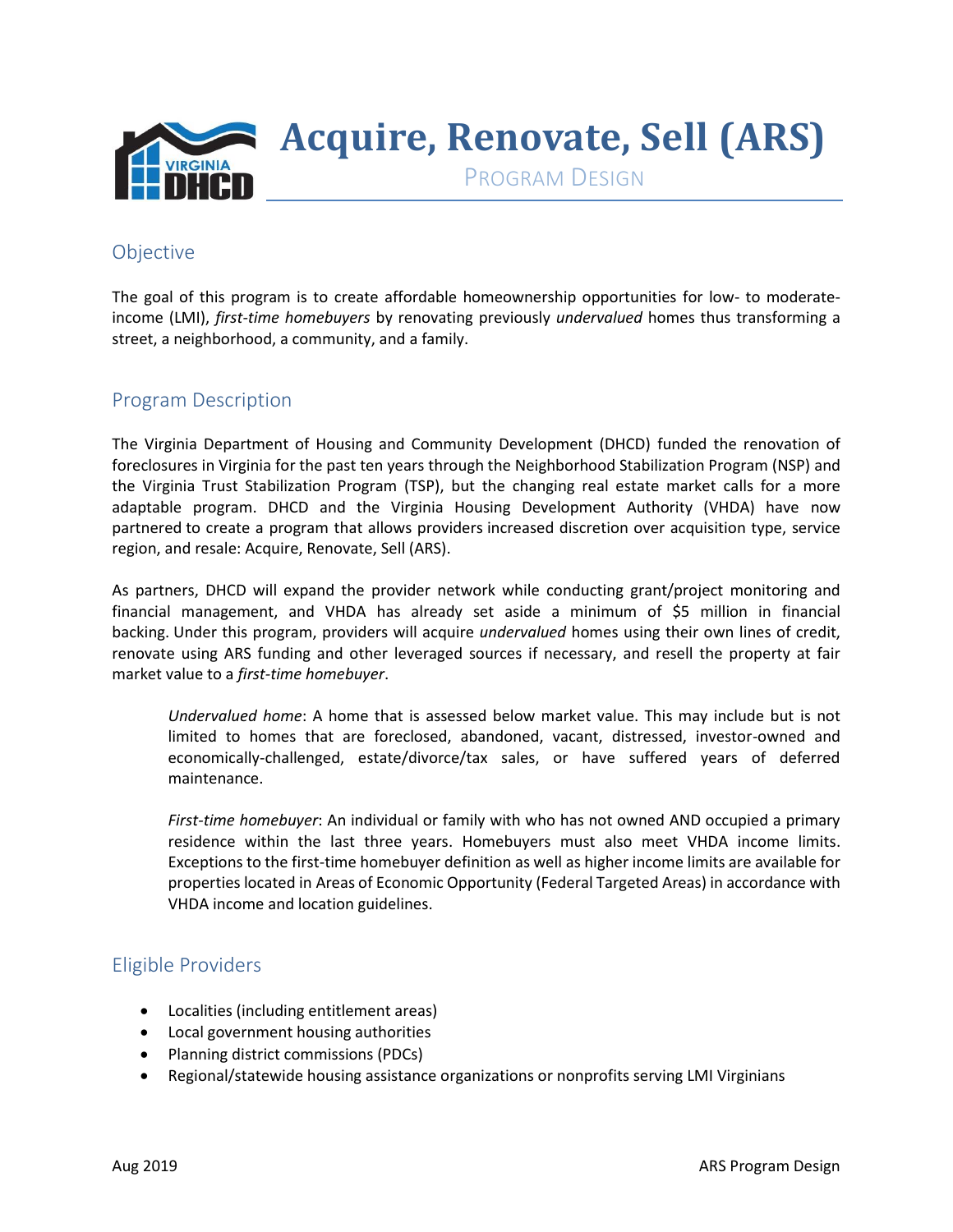

#### Objective

The goal of this program is to create affordable homeownership opportunities for low- to moderateincome (LMI), *first-time homebuyers* by renovating previously *undervalued* homes thus transforming a street, a neighborhood, a community, and a family.

#### Program Description

The Virginia Department of Housing and Community Development (DHCD) funded the renovation of foreclosures in Virginia for the past ten years through the Neighborhood Stabilization Program (NSP) and the Virginia Trust Stabilization Program (TSP), but the changing real estate market calls for a more adaptable program. DHCD and the Virginia Housing Development Authority (VHDA) have now partnered to create a program that allows providers increased discretion over acquisition type, service region, and resale: Acquire, Renovate, Sell (ARS).

As partners, DHCD will expand the provider network while conducting grant/project monitoring and financial management, and VHDA has already set aside a minimum of \$5 million in financial backing. Under this program, providers will acquire *undervalued* homes using their own lines of credit, renovate using ARS funding and other leveraged sources if necessary, and resell the property at fair market value to a *first-time homebuyer*.

*Undervalued home*: A home that is assessed below market value. This may include but is not limited to homes that are foreclosed, abandoned, vacant, distressed, investor-owned and economically-challenged, estate/divorce/tax sales, or have suffered years of deferred maintenance.

*First-time homebuyer*: An individual or family with who has not owned AND occupied a primary residence within the last three years. Homebuyers must also meet VHDA income limits. Exceptions to the first-time homebuyer definition as well as higher income limits are available for properties located in Areas of Economic Opportunity (Federal Targeted Areas) in accordance with VHDA income and location guidelines.

### Eligible Providers

- Localities (including entitlement areas)
- Local government housing authorities
- Planning district commissions (PDCs)
- Regional/statewide housing assistance organizations or nonprofits serving LMI Virginians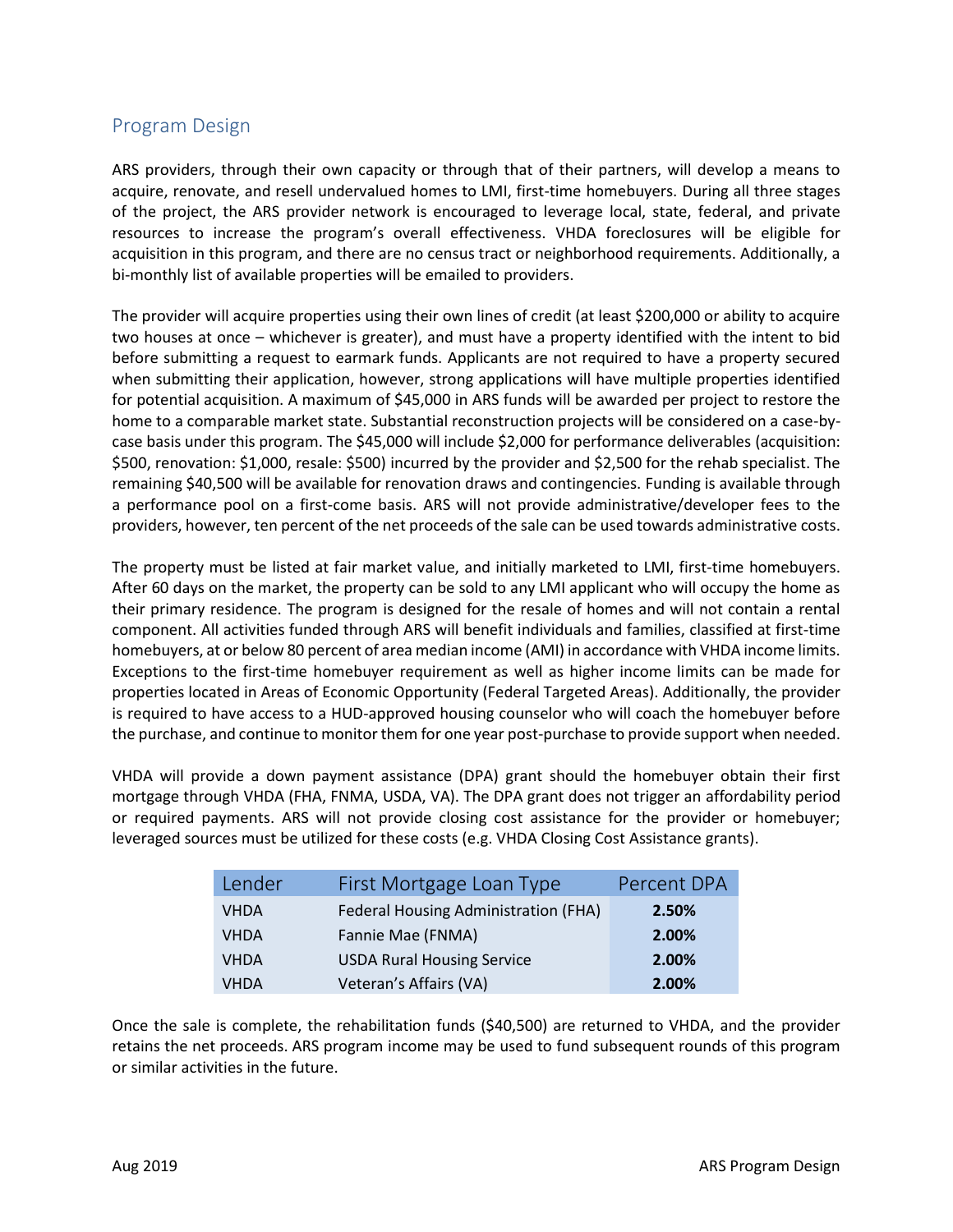#### Program Design

ARS providers, through their own capacity or through that of their partners, will develop a means to acquire, renovate, and resell undervalued homes to LMI, first-time homebuyers. During all three stages of the project, the ARS provider network is encouraged to leverage local, state, federal, and private resources to increase the program's overall effectiveness. VHDA foreclosures will be eligible for acquisition in this program, and there are no census tract or neighborhood requirements. Additionally, a bi-monthly list of available properties will be emailed to providers.

The provider will acquire properties using their own lines of credit (at least \$200,000 or ability to acquire two houses at once – whichever is greater), and must have a property identified with the intent to bid before submitting a request to earmark funds. Applicants are not required to have a property secured when submitting their application, however, strong applications will have multiple properties identified for potential acquisition. A maximum of \$45,000 in ARS funds will be awarded per project to restore the home to a comparable market state. Substantial reconstruction projects will be considered on a case-bycase basis under this program. The \$45,000 will include \$2,000 for performance deliverables (acquisition: \$500, renovation: \$1,000, resale: \$500) incurred by the provider and \$2,500 for the rehab specialist. The remaining \$40,500 will be available for renovation draws and contingencies. Funding is available through a performance pool on a first-come basis. ARS will not provide administrative/developer fees to the providers, however, ten percent of the net proceeds of the sale can be used towards administrative costs.

The property must be listed at fair market value, and initially marketed to LMI, first-time homebuyers. After 60 days on the market, the property can be sold to any LMI applicant who will occupy the home as their primary residence. The program is designed for the resale of homes and will not contain a rental component. All activities funded through ARS will benefit individuals and families, classified at first-time homebuyers, at or below 80 percent of area median income (AMI) in accordance with VHDA income limits. Exceptions to the first-time homebuyer requirement as well as higher income limits can be made for properties located in Areas of Economic Opportunity (Federal Targeted Areas). Additionally, the provider is required to have access to a HUD-approved housing counselor who will coach the homebuyer before the purchase, and continue to monitor them for one year post-purchase to provide support when needed.

VHDA will provide a down payment assistance (DPA) grant should the homebuyer obtain their first mortgage through VHDA (FHA, FNMA, USDA, VA). The DPA grant does not trigger an affordability period or required payments. ARS will not provide closing cost assistance for the provider or homebuyer; leveraged sources must be utilized for these costs (e.g. VHDA Closing Cost Assistance grants).

| Lender      | First Mortgage Loan Type             | Percent DPA |
|-------------|--------------------------------------|-------------|
| <b>VHDA</b> | Federal Housing Administration (FHA) | 2.50%       |
| <b>VHDA</b> | Fannie Mae (FNMA)                    | 2.00%       |
| <b>VHDA</b> | <b>USDA Rural Housing Service</b>    | 2.00%       |
| <b>VHDA</b> | Veteran's Affairs (VA)               | 2.00%       |

Once the sale is complete, the rehabilitation funds (\$40,500) are returned to VHDA, and the provider retains the net proceeds. ARS program income may be used to fund subsequent rounds of this program or similar activities in the future.